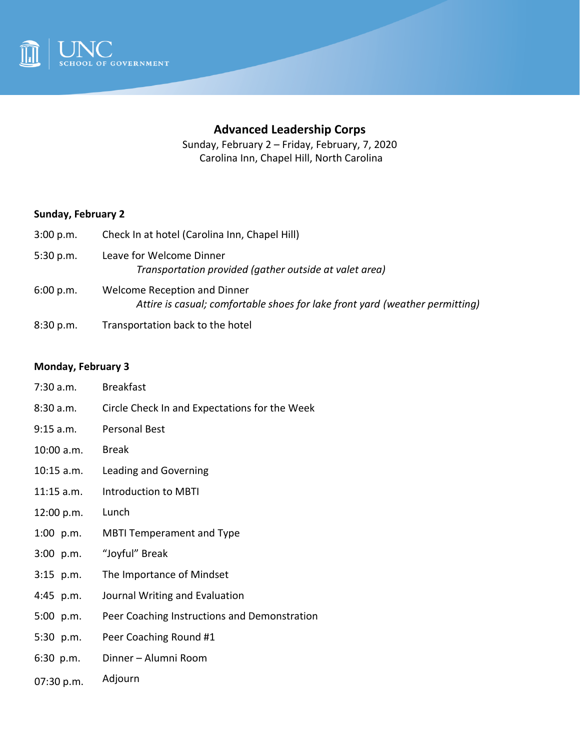

# **Advanced Leadership Corps**

Sunday, February 2 – Friday, February, 7, 2020 Carolina Inn, Chapel Hill, North Carolina

#### **Sunday, February 2**

| Check In at hotel (Carolina Inn, Chapel Hill)                                                                |
|--------------------------------------------------------------------------------------------------------------|
| Leave for Welcome Dinner<br>Transportation provided (gather outside at valet area)                           |
| Welcome Reception and Dinner<br>Attire is casual; comfortable shoes for lake front yard (weather permitting) |
|                                                                                                              |

8:30 p.m. Transportation back to the hotel

### **Monday, February 3**

- 7:30 a.m. Breakfast
- 8:30 a.m. Circle Check In and Expectations for the Week
- 9:15 a.m. Personal Best
- 10:00 a.m. Break
- 10:15 a.m. Leading and Governing
- 11:15 a.m. Introduction to MBTI
- 12:00 p.m. Lunch
- 1:00 p.m. MBTI Temperament and Type
- 3:00 p.m. "Joyful" Break
- 3:15 p.m. The Importance of Mindset
- 4:45 p.m. Journal Writing and Evaluation
- 5:00 p.m. Peer Coaching Instructions and Demonstration
- 5:30 p.m. Peer Coaching Round #1
- 6:30 p.m. Dinner – Alumni Room
- 07:30 p.m. Adjourn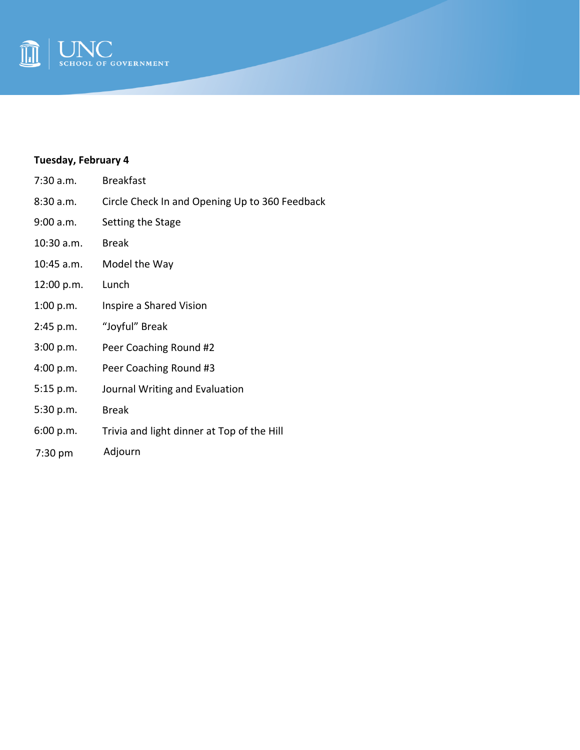

## **Tuesday, February 4**

| 7:30 a.m.   | <b>Breakfast</b>                               |
|-------------|------------------------------------------------|
| 8:30a.m.    | Circle Check In and Opening Up to 360 Feedback |
| 9:00 a.m.   | Setting the Stage                              |
| 10:30 a.m.  | <b>Break</b>                                   |
| 10:45 a.m.  | Model the Way                                  |
| 12:00 p.m.  | Lunch                                          |
| 1:00 p.m.   | Inspire a Shared Vision                        |
| 2:45 p.m.   | "Joyful" Break                                 |
| 3:00 p.m.   | Peer Coaching Round #2                         |
| 4:00 p.m.   | Peer Coaching Round #3                         |
| $5:15$ p.m. | Journal Writing and Evaluation                 |
| 5:30 p.m.   | <b>Break</b>                                   |
| 6:00 p.m.   | Trivia and light dinner at Top of the Hill     |
| $7:30$ pm   | Adjourn                                        |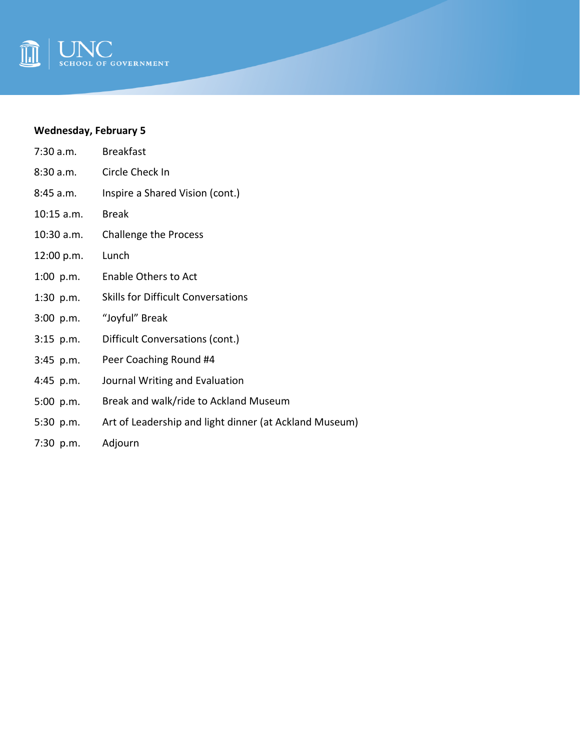

# **Wednesday, February 5**

| 7:30 a.m.    | <b>Breakfast</b>                                       |
|--------------|--------------------------------------------------------|
| 8:30a.m.     | Circle Check In                                        |
| 8:45 a.m.    | Inspire a Shared Vision (cont.)                        |
| $10:15$ a.m. | <b>Break</b>                                           |
| 10:30 a.m.   | Challenge the Process                                  |
| 12:00 p.m.   | Lunch                                                  |
| $1:00$ p.m.  | Enable Others to Act                                   |
| $1:30$ p.m.  | <b>Skills for Difficult Conversations</b>              |
| $3:00$ p.m.  | "Joyful" Break                                         |
| $3:15$ p.m.  | Difficult Conversations (cont.)                        |
| $3:45$ p.m.  | Peer Coaching Round #4                                 |
| 4:45 $p.m.$  | Journal Writing and Evaluation                         |
| 5:00 p.m.    | Break and walk/ride to Ackland Museum                  |
| $5:30$ p.m.  | Art of Leadership and light dinner (at Ackland Museum) |
|              |                                                        |

7:30 p.m. Adjourn